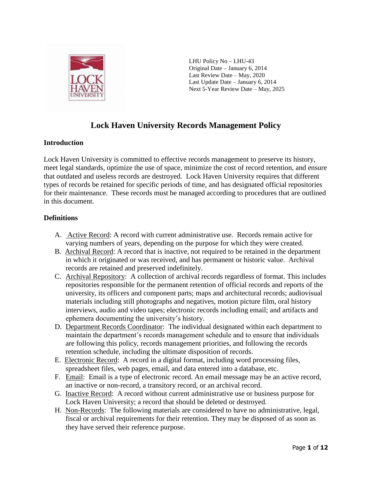

LHU Policy No – LHU-43 Original Date – January 6, 2014 Last Review Date – May, 2020 Last Update Date – January 6, 2014 Next 5-Year Review Date – May, 2025

# **Lock Haven University Records Management Policy**

## **Introduction**

Lock Haven University is committed to effective records management to preserve its history, meet legal standards, optimize the use of space, minimize the cost of record retention, and ensure that outdated and useless records are destroyed. Lock Haven University requires that different types of records be retained for specific periods of time, and has designated official repositories for their maintenance. These records must be managed according to procedures that are outlined in this document.

## **Definitions**

- A. Active Record: A record with current administrative use. Records remain active for varying numbers of years, depending on the purpose for which they were created.
- B. Archival Record: A record that is inactive, not required to be retained in the department in which it originated or was received, and has permanent or historic value. Archival records are retained and preserved indefinitely.
- C. Archival Repository: A collection of archival records regardless of format. This includes repositories responsible for the permanent retention of official records and reports of the university, its officers and component parts; maps and architectural records; audiovisual materials including still photographs and negatives, motion picture film, oral history interviews, audio and video tapes; electronic records including email; and artifacts and ephemera documenting the university's history.
- D. Department Records Coordinator: The individual designated within each department to maintain the department's records management schedule and to ensure that individuals are following this policy, records management priorities, and following the records retention schedule, including the ultimate disposition of records.
- E. Electronic Record: A record in a digital format, including word processing files, spreadsheet files, web pages, email, and data entered into a database, etc.
- F. Email: Email is a type of electronic record. An email message may be an active record, an inactive or non-record, a transitory record, or an archival record.
- G. Inactive Record: A record without current administrative use or business purpose for Lock Haven University; a record that should be deleted or destroyed.
- H. Non-Records: The following materials are considered to have no administrative, legal, fiscal or archival requirements for their retention. They may be disposed of as soon as they have served their reference purpose.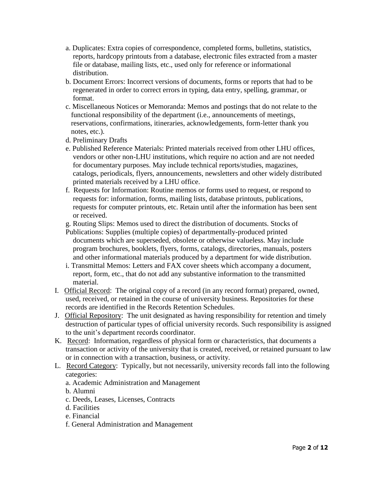- a. Duplicates: Extra copies of correspondence, completed forms, bulletins, statistics, reports, hardcopy printouts from a database, electronic files extracted from a master file or database, mailing lists, etc., used only for reference or informational distribution.
- b. Document Errors: Incorrect versions of documents, forms or reports that had to be regenerated in order to correct errors in typing, data entry, spelling, grammar, or format.
- c. Miscellaneous Notices or Memoranda: Memos and postings that do not relate to the functional responsibility of the department (i.e., announcements of meetings, reservations, confirmations, itineraries, acknowledgements, form-letter thank you notes, etc.).
- d. Preliminary Drafts
- e. Published Reference Materials: Printed materials received from other LHU offices, vendors or other non-LHU institutions, which require no action and are not needed for documentary purposes. May include technical reports/studies, magazines, catalogs, periodicals, flyers, announcements, newsletters and other widely distributed printed materials received by a LHU office.
- f. Requests for Information: Routine memos or forms used to request, or respond to requests for: information, forms, mailing lists, database printouts, publications, requests for computer printouts, etc. Retain until after the information has been sent or received.
- g. Routing Slips: Memos used to direct the distribution of documents. Stocks of
- Publications: Supplies (multiple copies) of departmentally-produced printed documents which are superseded, obsolete or otherwise valueless. May include program brochures, booklets, flyers, forms, catalogs, directories, manuals, posters and other informational materials produced by a department for wide distribution.
- i. Transmittal Memos: Letters and FAX cover sheets which accompany a document, report, form, etc., that do not add any substantive information to the transmitted material.
- I. Official Record: The original copy of a record (in any record format) prepared, owned, used, received, or retained in the course of university business. Repositories for these records are identified in the Records Retention Schedules.
- J. Official Repository: The unit designated as having responsibility for retention and timely destruction of particular types of official university records. Such responsibility is assigned to the unit's department records coordinator.
- K. Record: Information, regardless of physical form or characteristics, that documents a transaction or activity of the university that is created, received, or retained pursuant to law or in connection with a transaction, business, or activity.
- L. Record Category: Typically, but not necessarily, university records fall into the following categories:
	- a. Academic Administration and Management
	- b. Alumni
	- c. Deeds, Leases, Licenses, Contracts
	- d. Facilities
	- e. Financial
	- f. General Administration and Management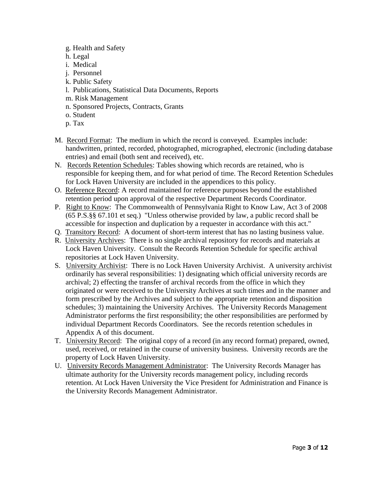- g. Health and Safety
- h. Legal
- i. Medical
- j. Personnel
- k. Public Safety
- l. Publications, Statistical Data Documents, Reports
- m. Risk Management
- n. Sponsored Projects, Contracts, Grants
- o. Student
- p. Tax
- M. Record Format: The medium in which the record is conveyed. Examples include: handwritten, printed, recorded, photographed, micrographed, electronic (including database entries) and email (both sent and received), etc.
- N. Records Retention Schedules: Tables showing which records are retained, who is responsible for keeping them, and for what period of time. The Record Retention Schedules for Lock Haven University are included in the appendices to this policy.
- O. Reference Record: A record maintained for reference purposes beyond the established retention period upon approval of the respective Department Records Coordinator.
- P. Right to Know: The Commonwealth of Pennsylvania Right to Know Law, Act 3 of 2008 (65 P.S.§§ 67.101 et seq.) "Unless otherwise provided by law, a public record shall be accessible for inspection and duplication by a requester in accordance with this act."
- Q. Transitory Record: A document of short-term interest that has no lasting business value.
- R. University Archives: There is no single archival repository for records and materials at Lock Haven University. Consult the Records Retention Schedule for specific archival repositories at Lock Haven University.
- S. University Archivist: There is no Lock Haven University Archivist. A university archivist ordinarily has several responsibilities: 1) designating which official university records are archival; 2) effecting the transfer of archival records from the office in which they originated or were received to the University Archives at such times and in the manner and form prescribed by the Archives and subject to the appropriate retention and disposition schedules; 3) maintaining the University Archives. The University Records Management Administrator performs the first responsibility; the other responsibilities are performed by individual Department Records Coordinators. See the records retention schedules in Appendix A of this document.
- T. University Record: The original copy of a record (in any record format) prepared, owned, used, received, or retained in the course of university business. University records are the property of Lock Haven University.
- U. University Records Management Administrator: The University Records Manager has ultimate authority for the University records management policy, including records retention. At Lock Haven University the Vice President for Administration and Finance is the University Records Management Administrator.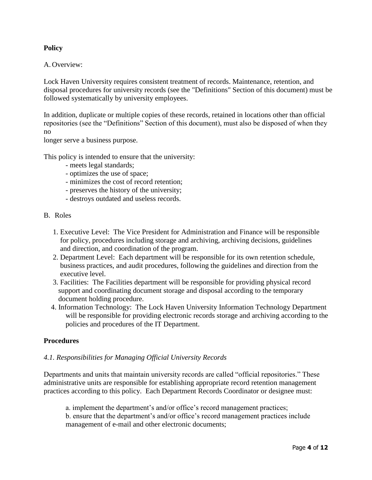## **Policy**

### A. Overview:

Lock Haven University requires consistent treatment of records. Maintenance, retention, and disposal procedures for university records (see the "Definitions" Section of this document) must be followed systematically by university employees.

In addition, duplicate or multiple copies of these records, retained in locations other than official repositories (see the "Definitions" Section of this document), must also be disposed of when they no

longer serve a business purpose.

This policy is intended to ensure that the university:

- meets legal standards;
- optimizes the use of space;
- minimizes the cost of record retention;
- preserves the history of the university;
- destroys outdated and useless records.
- B. Roles
	- 1. Executive Level: The Vice President for Administration and Finance will be responsible for policy, procedures including storage and archiving, archiving decisions, guidelines and direction, and coordination of the program.
	- 2. Department Level: Each department will be responsible for its own retention schedule, business practices, and audit procedures, following the guidelines and direction from the executive level.
	- 3. Facilities: The Facilities department will be responsible for providing physical record support and coordinating document storage and disposal according to the temporary document holding procedure.
	- 4. Information Technology: The Lock Haven University Information Technology Department will be responsible for providing electronic records storage and archiving according to the policies and procedures of the IT Department.

#### **Procedures**

#### *4.1. Responsibilities for Managing Official University Records*

Departments and units that maintain university records are called "official repositories." These administrative units are responsible for establishing appropriate record retention management practices according to this policy. Each Department Records Coordinator or designee must:

a. implement the department's and/or office's record management practices;

b. ensure that the department's and/or office's record management practices include management of e-mail and other electronic documents;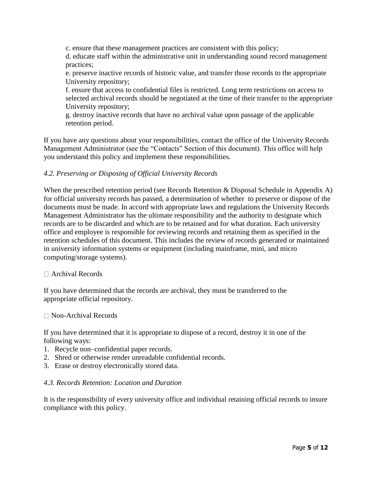c. ensure that these management practices are consistent with this policy;

d. educate staff within the administrative unit in understanding sound record management practices;

e. preserve inactive records of historic value, and transfer those records to the appropriate University repository;

f. ensure that access to confidential files is restricted. Long term restrictions on access to selected archival records should be negotiated at the time of their transfer to the appropriate University repository;

g. destroy inactive records that have no archival value upon passage of the applicable retention period.

If you have any questions about your responsibilities, contact the office of the University Records Management Administrator (see the "Contacts" Section of this document). This office will help you understand this policy and implement these responsibilities.

## *4.2. Preserving or Disposing of Official University Records*

When the prescribed retention period (see Records Retention & Disposal Schedule in Appendix A) for official university records has passed, a determination of whether to preserve or dispose of the documents must be made. In accord with appropriate laws and regulations the University Records Management Administrator has the ultimate responsibility and the authority to designate which records are to be discarded and which are to be retained and for what duration. Each university office and employee is responsible for reviewing records and retaining them as specified in the retention schedules of this document. This includes the review of records generated or maintained in university information systems or equipment (including mainframe, mini, and micro computing/storage systems).

### Archival Records

If you have determined that the records are archival, they must be transferred to the appropriate official repository.

### □ Non-Archival Records

If you have determined that it is appropriate to dispose of a record, destroy it in one of the following ways:

- 1. Recycle non–confidential paper records.
- 2. Shred or otherwise render unreadable confidential records.
- 3. Erase or destroy electronically stored data.

### *4.3. Records Retention: Location and Duration*

It is the responsibility of every university office and individual retaining official records to insure compliance with this policy.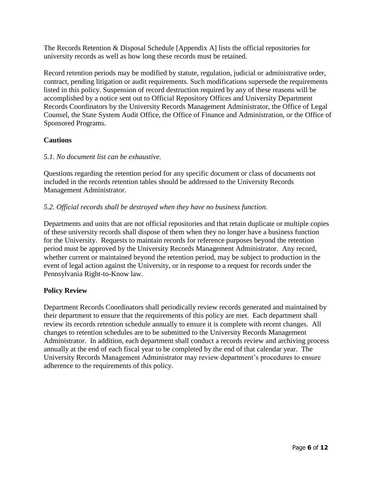The Records Retention & Disposal Schedule [Appendix A] lists the official repositories for university records as well as how long these records must be retained.

Record retention periods may be modified by statute, regulation, judicial or administrative order, contract, pending litigation or audit requirements. Such modifications supersede the requirements listed in this policy. Suspension of record destruction required by any of these reasons will be accomplished by a notice sent out to Official Repository Offices and University Department Records Coordinators by the University Records Management Administrator, the Office of Legal Counsel, the State System Audit Office, the Office of Finance and Administration, or the Office of Sponsored Programs.

## **Cautions**

### *5.1. No document list can be exhaustive.*

Questions regarding the retention period for any specific document or class of documents not included in the records retention tables should be addressed to the University Records Management Administrator.

## *5.2. Official records shall be destroyed when they have no business function.*

Departments and units that are not official repositories and that retain duplicate or multiple copies of these university records shall dispose of them when they no longer have a business function for the University. Requests to maintain records for reference purposes beyond the retention period must be approved by the University Records Management Administrator. Any record, whether current or maintained beyond the retention period, may be subject to production in the event of legal action against the University, or in response to a request for records under the Pennsylvania Right-to-Know law.

### **Policy Review**

Department Records Coordinators shall periodically review records generated and maintained by their department to ensure that the requirements of this policy are met. Each department shall review its records retention schedule annually to ensure it is complete with recent changes. All changes to retention schedules are to be submitted to the University Records Management Administrator. In addition, each department shall conduct a records review and archiving process annually at the end of each fiscal year to be completed by the end of that calendar year. The University Records Management Administrator may review department's procedures to ensure adherence to the requirements of this policy.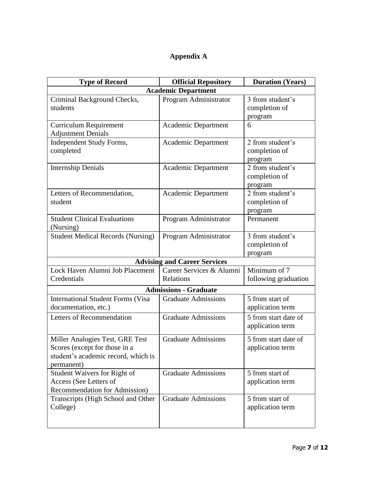# **Appendix A**

| <b>Type of Record</b>                                                                                                 | <b>Official Repository</b>            | <b>Duration (Years)</b>                      |  |  |
|-----------------------------------------------------------------------------------------------------------------------|---------------------------------------|----------------------------------------------|--|--|
| <b>Academic Department</b>                                                                                            |                                       |                                              |  |  |
| Criminal Background Checks,<br>students                                                                               | Program Administrator                 | 3 from student's<br>completion of<br>program |  |  |
| <b>Curriculum Requirement</b><br><b>Adjustment Denials</b>                                                            | Academic Department                   | 6                                            |  |  |
| Independent Study Forms,<br>completed                                                                                 | Academic Department                   | 2 from student's<br>completion of<br>program |  |  |
| <b>Internship Denials</b>                                                                                             | Academic Department                   | 2 from student's<br>completion of<br>program |  |  |
| Letters of Recommendation,<br>student                                                                                 | <b>Academic Department</b>            | 2 from student's<br>completion of<br>program |  |  |
| <b>Student Clinical Evaluations</b><br>(Nursing)                                                                      | Program Administrator                 | Permanent                                    |  |  |
| <b>Student Medical Records (Nursing)</b>                                                                              | Program Administrator                 | 3 from student's<br>completion of<br>program |  |  |
|                                                                                                                       | <b>Advising and Career Services</b>   |                                              |  |  |
| Lock Haven Alumni Job Placement<br>Credentials                                                                        | Career Services & Alumni<br>Relations | Minimum of 7<br>following graduation         |  |  |
|                                                                                                                       | <b>Admissions - Graduate</b>          |                                              |  |  |
| <b>International Student Forms (Visa</b><br>documentation, etc.)                                                      | <b>Graduate Admissions</b>            | 5 from start of<br>application term          |  |  |
| Letters of Recommendation                                                                                             | <b>Graduate Admissions</b>            | 5 from start date of<br>application term     |  |  |
| Miller Analogies Test, GRE Test<br>Scores (except for those in a<br>student's academic record, which is<br>permanent) | <b>Graduate Admissions</b>            | 5 from start date of<br>application term     |  |  |
| Student Waivers for Right of<br>Access (See Letters of<br>Recommendation for Admission)                               | <b>Graduate Admissions</b>            | 5 from start of<br>application term          |  |  |
| Transcripts (High School and Other<br>College)                                                                        | <b>Graduate Admissions</b>            | 5 from start of<br>application term          |  |  |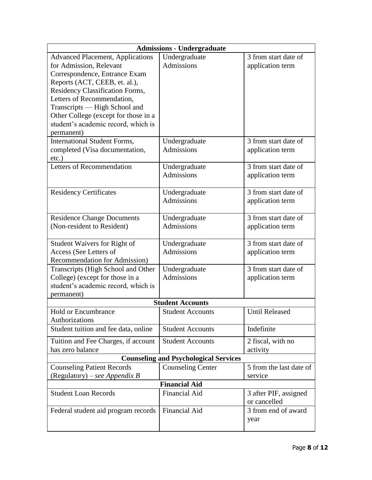| <b>Admissions - Undergraduate</b>                                     |                                    |                         |  |
|-----------------------------------------------------------------------|------------------------------------|-------------------------|--|
| <b>Advanced Placement, Applications</b>                               | Undergraduate                      | 3 from start date of    |  |
| for Admission, Relevant                                               | <b>Admissions</b>                  | application term        |  |
| Correspondence, Entrance Exam                                         |                                    |                         |  |
| Reports (ACT, CEEB, et. al.),                                         |                                    |                         |  |
| Residency Classification Forms,                                       |                                    |                         |  |
| Letters of Recommendation,                                            |                                    |                         |  |
| Transcripts - High School and                                         |                                    |                         |  |
| Other College (except for those in a                                  |                                    |                         |  |
| student's academic record, which is                                   |                                    |                         |  |
| permanent)                                                            |                                    |                         |  |
| International Student Forms,                                          | Undergraduate                      | 3 from start date of    |  |
| completed (Visa documentation,<br>$etc.$ )                            | Admissions                         | application term        |  |
| <b>Letters of Recommendation</b>                                      | Undergraduate                      | 3 from start date of    |  |
|                                                                       | <b>Admissions</b>                  | application term        |  |
|                                                                       |                                    |                         |  |
| <b>Residency Certificates</b>                                         | Undergraduate                      | 3 from start date of    |  |
|                                                                       | <b>Admissions</b>                  | application term        |  |
|                                                                       |                                    |                         |  |
| <b>Residence Change Documents</b>                                     | Undergraduate                      | 3 from start date of    |  |
| (Non-resident to Resident)                                            | <b>Admissions</b>                  | application term        |  |
|                                                                       |                                    | 3 from start date of    |  |
| Student Waivers for Right of<br>Access (See Letters of                | Undergraduate<br><b>Admissions</b> |                         |  |
| Recommendation for Admission)                                         |                                    | application term        |  |
|                                                                       |                                    | 3 from start date of    |  |
| Transcripts (High School and Other<br>College) (except for those in a | Undergraduate<br><b>Admissions</b> |                         |  |
| student's academic record, which is                                   |                                    | application term        |  |
| permanent)                                                            |                                    |                         |  |
|                                                                       | <b>Student Accounts</b>            |                         |  |
| <b>Hold or Encumbrance</b>                                            | <b>Student Accounts</b>            | <b>Until Released</b>   |  |
| Authorizations                                                        |                                    |                         |  |
| Student tuition and fee data, online                                  | <b>Student Accounts</b>            | Indefinite              |  |
| Tuition and Fee Charges, if account                                   | <b>Student Accounts</b>            | 2 fiscal, with no       |  |
| has zero balance                                                      |                                    | activity                |  |
| <b>Counseling and Psychological Services</b>                          |                                    |                         |  |
| <b>Counseling Patient Records</b>                                     | <b>Counseling Center</b>           | 5 from the last date of |  |
| (Regulatory) – see Appendix B                                         |                                    | service                 |  |
| <b>Financial Aid</b>                                                  |                                    |                         |  |
| <b>Student Loan Records</b>                                           | Financial Aid                      | 3 after PIF, assigned   |  |
|                                                                       |                                    | or cancelled            |  |
| Federal student aid program records                                   | <b>Financial Aid</b>               | 3 from end of award     |  |
|                                                                       |                                    | year                    |  |
|                                                                       |                                    |                         |  |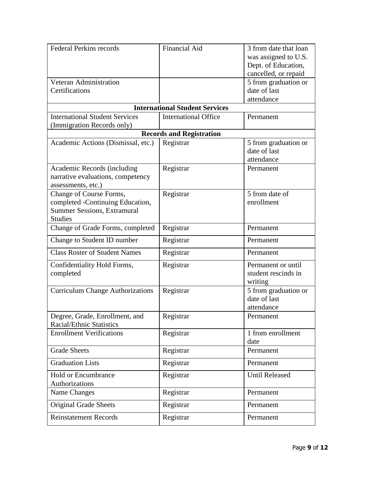| <b>Federal Perkins records</b>          | Financial Aid                         | 3 from date that loan |
|-----------------------------------------|---------------------------------------|-----------------------|
|                                         |                                       | was assigned to U.S.  |
|                                         |                                       | Dept. of Education,   |
|                                         |                                       | cancelled, or repaid  |
| <b>Veteran Administration</b>           |                                       | 5 from graduation or  |
| Certifications                          |                                       | date of last          |
|                                         |                                       | attendance            |
|                                         | <b>International Student Services</b> |                       |
| <b>International Student Services</b>   | <b>International Office</b>           | Permanent             |
| (Immigration Records only)              |                                       |                       |
|                                         | <b>Records and Registration</b>       |                       |
| Academic Actions (Dismissal, etc.)      | Registrar                             | 5 from graduation or  |
|                                         |                                       | date of last          |
|                                         |                                       | attendance            |
| Academic Records (including             | Registrar                             | Permanent             |
| narrative evaluations, competency       |                                       |                       |
| assessments, etc.)                      |                                       |                       |
| Change of Course Forms,                 | Registrar                             | 5 from date of        |
| completed -Continuing Education,        |                                       | enrollment            |
| <b>Summer Sessions, Extramural</b>      |                                       |                       |
| <b>Studies</b>                          |                                       |                       |
| Change of Grade Forms, completed        | Registrar                             | Permanent             |
| Change to Student ID number             | Registrar                             | Permanent             |
| <b>Class Roster of Student Names</b>    | Registrar                             | Permanent             |
| Confidentiality Hold Forms,             | Registrar                             | Permanent or until    |
| completed                               |                                       | student rescinds in   |
|                                         |                                       | writing               |
| <b>Curriculum Change Authorizations</b> | Registrar                             | 5 from graduation or  |
|                                         |                                       | date of last          |
|                                         |                                       | attendance            |
| Degree, Grade, Enrollment, and          | Registrar                             | Permanent             |
| <b>Racial/Ethnic Statistics</b>         |                                       |                       |
| <b>Enrollment Verifications</b>         | Registrar                             | 1 from enrollment     |
|                                         |                                       | date                  |
| <b>Grade Sheets</b>                     | Registrar                             | Permanent             |
| <b>Graduation Lists</b>                 | Registrar                             | Permanent             |
| <b>Hold or Encumbrance</b>              | Registrar                             | <b>Until Released</b> |
| Authorizations                          |                                       |                       |
| Name Changes                            | Registrar                             | Permanent             |
| <b>Original Grade Sheets</b>            | Registrar                             | Permanent             |
| <b>Reinstatement Records</b>            | Registrar                             | Permanent             |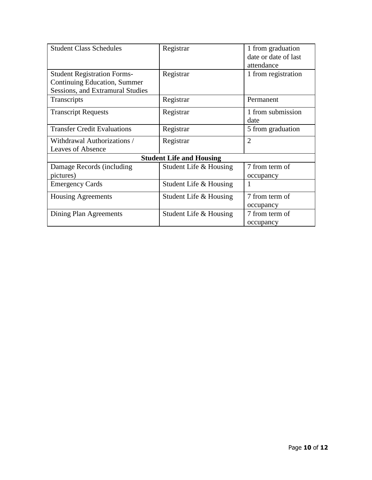| <b>Student Class Schedules</b>          | Registrar              | 1 from graduation    |  |  |
|-----------------------------------------|------------------------|----------------------|--|--|
|                                         |                        | date or date of last |  |  |
|                                         |                        | attendance           |  |  |
| <b>Student Registration Forms-</b>      | Registrar              | 1 from registration  |  |  |
| Continuing Education, Summer            |                        |                      |  |  |
| <b>Sessions, and Extramural Studies</b> |                        |                      |  |  |
| Transcripts                             | Registrar              | Permanent            |  |  |
| <b>Transcript Requests</b>              | Registrar              | 1 from submission    |  |  |
|                                         |                        | date                 |  |  |
| <b>Transfer Credit Evaluations</b>      | Registrar              | 5 from graduation    |  |  |
| Withdrawal Authorizations /             | Registrar              | $\overline{2}$       |  |  |
| <b>Leaves of Absence</b>                |                        |                      |  |  |
| <b>Student Life and Housing</b>         |                        |                      |  |  |
| Damage Records (including               | Student Life & Housing | 7 from term of       |  |  |
| pictures)                               |                        | occupancy            |  |  |
| <b>Emergency Cards</b>                  | Student Life & Housing | 1                    |  |  |
| <b>Housing Agreements</b>               | Student Life & Housing | 7 from term of       |  |  |
|                                         |                        | occupancy            |  |  |
| Dining Plan Agreements                  | Student Life & Housing | 7 from term of       |  |  |
|                                         |                        | occupancy            |  |  |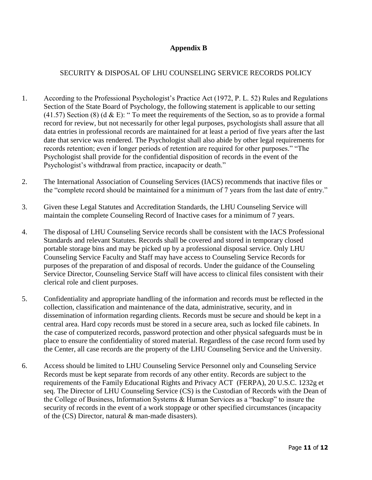## **Appendix B**

## SECURITY & DISPOSAL OF LHU COUNSELING SERVICE RECORDS POLICY

- 1. According to the Professional Psychologist's Practice Act (1972, P. L. 52) Rules and Regulations Section of the State Board of Psychology, the following statement is applicable to our setting  $(41.57)$  Section  $(8)$  (d & E): " To meet the requirements of the Section, so as to provide a formal record for review, but not necessarily for other legal purposes, psychologists shall assure that all data entries in professional records are maintained for at least a period of five years after the last date that service was rendered. The Psychologist shall also abide by other legal requirements for records retention; even if longer periods of retention are required for other purposes." "The Psychologist shall provide for the confidential disposition of records in the event of the Psychologist's withdrawal from practice, incapacity or death."
- 2. The International Association of Counseling Services (IACS) recommends that inactive files or the "complete record should be maintained for a minimum of 7 years from the last date of entry."
- 3. Given these Legal Statutes and Accreditation Standards, the LHU Counseling Service will maintain the complete Counseling Record of Inactive cases for a minimum of 7 years.
- 4. The disposal of LHU Counseling Service records shall be consistent with the IACS Professional Standards and relevant Statutes. Records shall be covered and stored in temporary closed portable storage bins and may be picked up by a professional disposal service. Only LHU Counseling Service Faculty and Staff may have access to Counseling Service Records for purposes of the preparation of and disposal of records. Under the guidance of the Counseling Service Director, Counseling Service Staff will have access to clinical files consistent with their clerical role and client purposes.
- 5. Confidentiality and appropriate handling of the information and records must be reflected in the collection, classification and maintenance of the data, administrative, security, and in dissemination of information regarding clients. Records must be secure and should be kept in a central area. Hard copy records must be stored in a secure area, such as locked file cabinets. In the case of computerized records, password protection and other physical safeguards must be in place to ensure the confidentiality of stored material. Regardless of the case record form used by the Center, all case records are the property of the LHU Counseling Service and the University.
- 6. Access should be limited to LHU Counseling Service Personnel only and Counseling Service Records must be kept separate from records of any other entity. Records are subject to the requirements of the Family Educational Rights and Privacy ACT (FERPA), 20 U.S.C. 1232g et seq. The Director of LHU Counseling Service (CS) is the Custodian of Records with the Dean of the College of Business, Information Systems & Human Services as a "backup" to insure the security of records in the event of a work stoppage or other specified circumstances (incapacity of the (CS) Director, natural & man-made disasters).